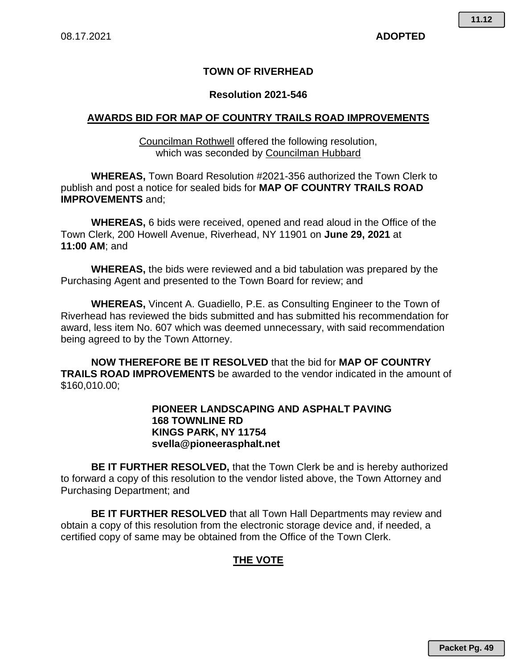### **TOWN OF RIVERHEAD**

#### **Resolution 2021-546**

#### **AWARDS BID FOR MAP OF COUNTRY TRAILS ROAD IMPROVEMENTS**

Councilman Rothwell offered the following resolution, which was seconded by Councilman Hubbard

**WHEREAS,** Town Board Resolution #2021-356 authorized the Town Clerk to publish and post a notice for sealed bids for **MAP OF COUNTRY TRAILS ROAD IMPROVEMENTS** and;

**WHEREAS,** 6 bids were received, opened and read aloud in the Office of the Town Clerk, 200 Howell Avenue, Riverhead, NY 11901 on **June 29, 2021** at **11:00 AM**; and

**WHEREAS,** the bids were reviewed and a bid tabulation was prepared by the Purchasing Agent and presented to the Town Board for review; and

**WHEREAS,** Vincent A. Guadiello, P.E. as Consulting Engineer to the Town of Riverhead has reviewed the bids submitted and has submitted his recommendation for award, less item No. 607 which was deemed unnecessary, with said recommendation being agreed to by the Town Attorney.

**NOW THEREFORE BE IT RESOLVED** that the bid for **MAP OF COUNTRY TRAILS ROAD IMPROVEMENTS** be awarded to the vendor indicated in the amount of \$160,010.00;

#### **PIONEER LANDSCAPING AND ASPHALT PAVING 168 TOWNLINE RD KINGS PARK, NY 11754 svella@pioneerasphalt.net**

**BE IT FURTHER RESOLVED,** that the Town Clerk be and is hereby authorized to forward a copy of this resolution to the vendor listed above, the Town Attorney and Purchasing Department; and

**BE IT FURTHER RESOLVED** that all Town Hall Departments may review and obtain a copy of this resolution from the electronic storage device and, if needed, a certified copy of same may be obtained from the Office of the Town Clerk.

## **THE VOTE**

**11.12**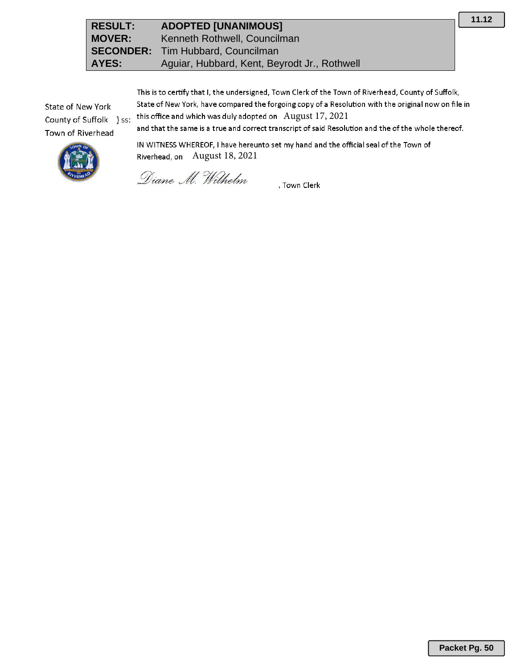| <b>RESULT:</b> | <b>ADOPTED [UNANIMOUS]</b>                   |
|----------------|----------------------------------------------|
| <b>MOVER:</b>  | Kenneth Rothwell, Councilman                 |
|                | <b>SECONDER:</b> Tim Hubbard, Councilman     |
| AYES:          | Aguiar, Hubbard, Kent, Beyrodt Jr., Rothwell |

This is to certify that I, the undersigned, Town Clerk of the Town of Riverhead, County of Suffolk, State of New York, have compared the forgoing copy of a Resolution with the original now on file in this office and which was duly adopted on August 17, 2021 and that the same is a true and correct transcript of said Resolution and the of the whole thereof.

State of New York County of Suffolk } ss: Town of Riverhead

IN WITNESS WHEREOF, I have hereunto set my hand and the official seal of the Town of Riverhead, on August 18, 2021

Diane M. Wilhelm

, Town Clerk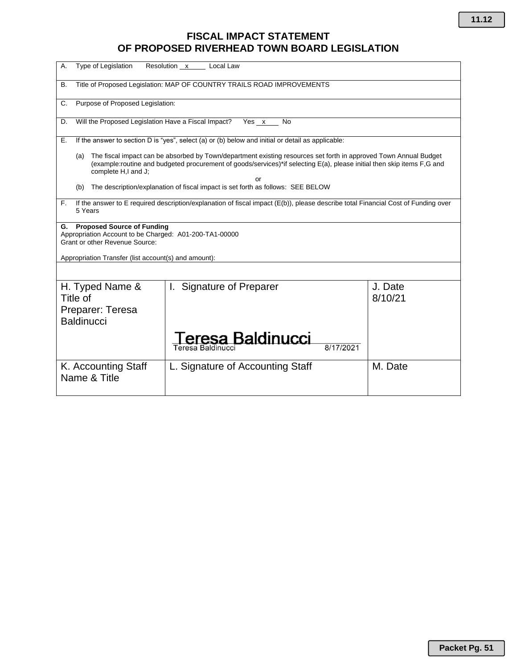# **FISCAL IMPACT STATEMENT OF PROPOSED RIVERHEAD TOWN BOARD LEGISLATION**

| Type of Legislation<br>А.                                                                                                                                                                                                                                                | Resolution x<br>Local Law          |                    |  |  |
|--------------------------------------------------------------------------------------------------------------------------------------------------------------------------------------------------------------------------------------------------------------------------|------------------------------------|--------------------|--|--|
| Title of Proposed Legislation: MAP OF COUNTRY TRAILS ROAD IMPROVEMENTS<br>В.                                                                                                                                                                                             |                                    |                    |  |  |
| Purpose of Proposed Legislation:<br>C.                                                                                                                                                                                                                                   |                                    |                    |  |  |
| Will the Proposed Legislation Have a Fiscal Impact?<br>Yes $x$<br>D.<br>No                                                                                                                                                                                               |                                    |                    |  |  |
| If the answer to section D is "yes", select (a) or (b) below and initial or detail as applicable:<br>Е.                                                                                                                                                                  |                                    |                    |  |  |
| The fiscal impact can be absorbed by Town/department existing resources set forth in approved Town Annual Budget<br>(a)<br>(example:routine and budgeted procurement of goods/services)*if selecting E(a), please initial then skip items F,G and<br>complete H,I and J; |                                    |                    |  |  |
| or<br>The description/explanation of fiscal impact is set forth as follows: SEE BELOW<br>(b)                                                                                                                                                                             |                                    |                    |  |  |
| If the answer to E required description/explanation of fiscal impact (E(b)), please describe total Financial Cost of Funding over<br>F.<br>5 Years                                                                                                                       |                                    |                    |  |  |
| <b>Proposed Source of Funding</b><br>G.<br>Appropriation Account to be Charged: A01-200-TA1-00000<br><b>Grant or other Revenue Source:</b><br>Appropriation Transfer (list account(s) and amount):                                                                       |                                    |                    |  |  |
|                                                                                                                                                                                                                                                                          |                                    |                    |  |  |
| H. Typed Name &<br>Title of<br>Preparer: Teresa<br><b>Baldinucci</b>                                                                                                                                                                                                     | <b>Signature of Preparer</b><br>L. | J. Date<br>8/10/21 |  |  |
|                                                                                                                                                                                                                                                                          | eresa Baldinucci<br>8/17/2021      |                    |  |  |
| K. Accounting Staff<br>Name & Title                                                                                                                                                                                                                                      | L. Signature of Accounting Staff   | M. Date            |  |  |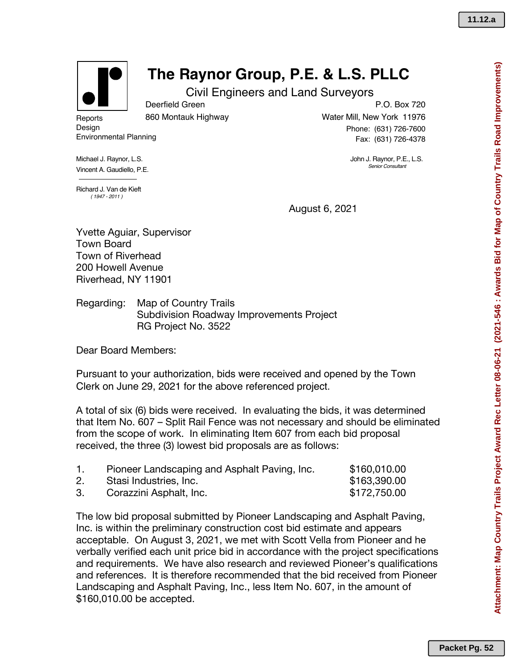

# **The Raynor Group, P.E. & L.S. PLLC**

Civil Engineers and Land Surveyors

**Reports** Design

860 Montauk Highway

Deerfield Green

Environmental Planning

Michael J. Raynor, L.S. Vincent A. Gaudiello, P.E.

P.O. Box 720 Water Mill, New York 11976 Phone: (631) 726-7600 Fax: (631) 726-4378

> John J. Raynor, P.E., L.S. *Senior Consultant*

Richard J. Van de Kieft *( 1947 - 2011 )*

August 6, 2021

Yvette Aguiar, Supervisor Town Board Town of Riverhead 200 Howell Avenue Riverhead, NY 11901

Regarding: Map of Country Trails Subdivision Roadway Improvements Project RG Project No. 3522

Dear Board Members:

Pursuant to your authorization, bids were received and opened by the Town Clerk on June 29, 2021 for the above referenced project.

A total of six (6) bids were received. In evaluating the bids, it was determined that Item No. 607 – Split Rail Fence was not necessary and should be eliminated from the scope of work. In eliminating Item 607 from each bid proposal received, the three (3) lowest bid proposals are as follows:

| Pioneer Landscaping and Asphalt Paving, Inc. | \$160,010.00 |
|----------------------------------------------|--------------|
| Stasi Industries, Inc.                       | \$163,390.00 |
| Corazzini Asphalt, Inc.                      | \$172,750.00 |

The low bid proposal submitted by Pioneer Landscaping and Asphalt Paving, Inc. is within the preliminary construction cost bid estimate and appears acceptable. On August 3, 2021, we met with Scott Vella from Pioneer and he verbally verified each unit price bid in accordance with the project specifications and requirements. We have also research and reviewed Pioneer's qualifications and references. It is therefore recommended that the bid received from Pioneer Landscaping and Asphalt Paving, Inc., less Item No. 607, in the amount of \$160,010.00 be accepted.